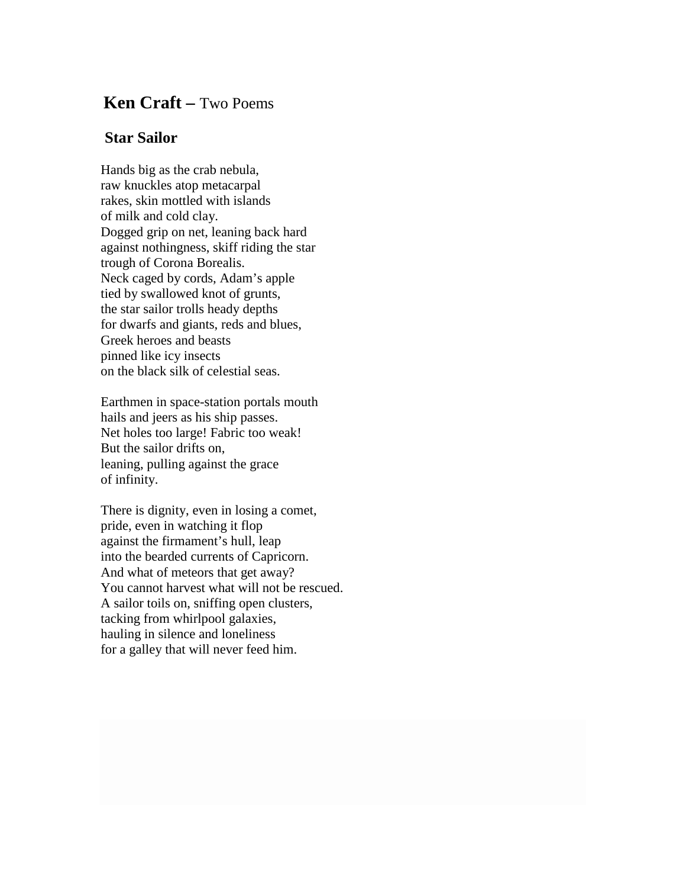## **Ken Craft –** Two Poems

## **Star Sailor**

Hands big as the crab nebula, raw knuckles atop metacarpal rakes, skin mottled with islands of milk and cold clay. Dogged grip on net, leaning back hard against nothingness, skiff riding the star trough of Corona Borealis. Neck caged by cords, Adam's apple tied by swallowed knot of grunts, the star sailor trolls heady depths for dwarfs and giants, reds and blues, Greek heroes and beasts pinned like icy insects on the black silk of celestial seas.

Earthmen in space-station portals mouth hails and jeers as his ship passes. Net holes too large! Fabric too weak! But the sailor drifts on, leaning, pulling against the grace of infinity.

There is dignity, even in losing a comet, pride, even in watching it flop against the firmament's hull, leap into the bearded currents of Capricorn. And what of meteors that get away? You cannot harvest what will not be rescued. A sailor toils on, sniffing open clusters, tacking from whirlpool galaxies, hauling in silence and loneliness for a galley that will never feed him.